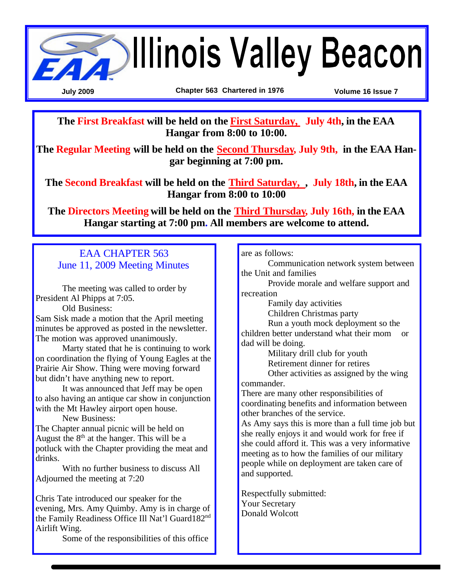

**The First Breakfast will be held on the First Saturday, July 4th, in the EAA Hangar from 8:00 to 10:00.**

**The Regular Meeting will be held on the Second Thursday, July 9th, in the EAA Hangar beginning at 7:00 pm.**

**The Second Breakfast will be held on the Third Saturday, , July 18th, in the EAA Hangar from 8:00 to 10:00** 

**The Directors Meeting will be held on the Third Thursday, July 16th, in the EAA Hangar starting at 7:00 pm. All members are welcome to attend.** 

#### EAA CHAPTER 563 June 11, 2009 Meeting Minutes

The meeting was called to order by President Al Phipps at 7:05.

Old Business:

Sam Sisk made a motion that the April meeting minutes be approved as posted in the newsletter. The motion was approved unanimously.

Marty stated that he is continuing to work on coordination the flying of Young Eagles at the Prairie Air Show. Thing were moving forward but didn't have anything new to report.

It was announced that Jeff may be open to also having an antique car show in conjunction with the Mt Hawley airport open house.

New Business:

The Chapter annual picnic will be held on August the  $8<sup>th</sup>$  at the hanger. This will be a potluck with the Chapter providing the meat and drinks.

With no further business to discuss All Adjourned the meeting at 7:20

Chris Tate introduced our speaker for the evening, Mrs. Amy Quimby. Amy is in charge of the Family Readiness Office Ill Nat'l Guard182nd Airlift Wing.

Some of the responsibilities of this office

are as follows:

Communication network system between the Unit and families

Provide morale and welfare support and recreation

Family day activities

Children Christmas party

Run a youth mock deployment so the children better understand what their mom or dad will be doing.

Military drill club for youth Retirement dinner for retires

Other activities as assigned by the wing commander.

There are many other responsibilities of coordinating benefits and information between other branches of the service.

As Amy says this is more than a full time job but she really enjoys it and would work for free if she could afford it. This was a very informative meeting as to how the families of our military people while on deployment are taken care of and supported.

Respectfully submitted: Your Secretary Donald Wolcott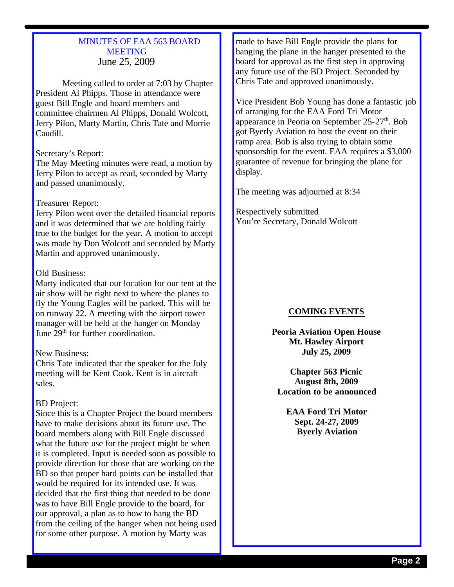#### MINUTES OF EAA 563 BOARD **MEETING** June 25, 2009

Meeting called to order at 7:03 by Chapter President Al Phipps. Those in attendance were guest Bill Engle and board members and committee chairmen Al Phipps, Donald Wolcott, Jerry Pilon, Marty Martin, Chris Tate and Morrie Caudill.

#### Secretary's Report:

The May Meeting minutes were read, a motion by Jerry Pilon to accept as read, seconded by Marty and passed unanimously.

#### Treasurer Report:

Jerry Pilon went over the detailed financial reports and it was determined that we are holding fairly true to the budget for the year. A motion to accept was made by Don Wolcott and seconded by Marty Martin and approved unanimously.

#### Old Business:

Marty indicated that our location for our tent at the air show will be right next to where the planes to fly the Young Eagles will be parked. This will be on runway 22. A meeting with the airport tower manager will be held at the hanger on Monday June 29<sup>th</sup> for further coordination.

#### New Business:

Chris Tate indicated that the speaker for the July meeting will be Kent Cook. Kent is in aircraft sales.

#### BD Project:

Since this is a Chapter Project the board members have to make decisions about its future use. The board members along with Bill Engle discussed what the future use for the project might be when it is completed. Input is needed soon as possible to provide direction for those that are working on the BD so that proper hard points can be installed that would be required for its intended use. It was decided that the first thing that needed to be done was to have Bill Engle provide to the board, for our approval, a plan as to how to hang the BD from the ceiling of the hanger when not being used for some other purpose. A motion by Marty was

made to have Bill Engle provide the plans for hanging the plane in the hanger presented to the board for approval as the first step in approving any future use of the BD Project. Seconded by Chris Tate and approved unanimously.

Vice President Bob Young has done a fantastic job of arranging for the EAA Ford Tri Motor appearance in Peoria on September  $25-27<sup>th</sup>$ . Bob got Byerly Aviation to host the event on their ramp area. Bob is also trying to obtain some sponsorship for the event. EAA requires a \$3,000 guarantee of revenue for bringing the plane for display.

The meeting was adjourned at 8:34

Respectively submitted You're Secretary, Donald Wolcott

#### **COMING EVENTS**

**Peoria Aviation Open House Mt. Hawley Airport July 25, 2009**

**Chapter 563 Picnic August 8th, 2009 Location to be announced**

**EAA Ford Tri Motor Sept. 24-27, 2009 Byerly Aviation**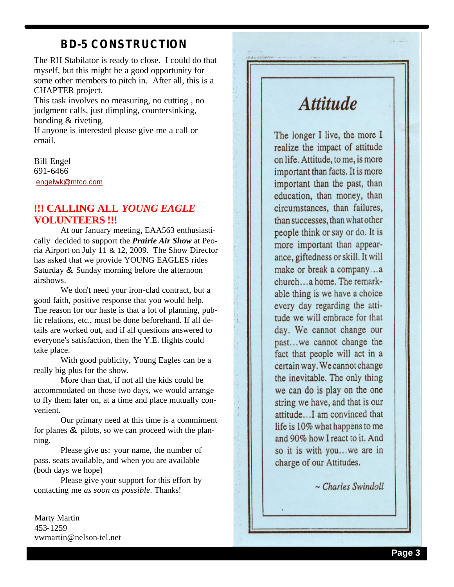### **BD -5 CONSTRUCTION**

The RH Stabilator is ready to close. I could do that myself, but this might be a good opportunity for some other members to pitch in. After all, this is a CHAPTER project.

This task involves no measuring, no cutting , no judgment calls, just dimpling, countersinking, bonding & riveting.

If anyone is interested please give me a call or email.

Bill Engel 691 -6466 engelwk@mtco.com

#### **!!! CALLING ALL** *YOUNG EAGLE*  **VOLUNTEERS !!!**

At our January meeting, EAA563 enthusiastically decided to support the *Prairie Air Show* at Peoria Airport on July 11 & 12, 2009. The Show Director has asked that we provide YOUNG EAGLES rides Saturday & Sunday morning before the afternoon airshows.

We don't need your iron -clad contract, but a good faith, positive response that you would help. The reason for our haste is that a lot of planning, public relations, etc., must be done beforehand. If all details are worked out, and if all questions answered to everyone's satisfaction, then the Y.E. flights could take place.

With good publicity, Young Eagles can be a really big plus for the show.

More than that, if not all the kids could be accommodated on those two days, we would arrange to fly them later on, at a time and place mutually convenient.

Our primary need at this time is a commiment for planes & pilots, so we can proceed with the planning.

Please give us: your name, the number of pass. seats available, and when you are available (both days we hope)

Please give your support for this effort by contacting me *as soon as possible.* Thanks!

Marty Martin 453 -1259 vwmartin@nelson-tel.net

## **Attitude**

The longer I live, the more I realize the impact of attitude on life. Attitude, to me, is more important than facts. It is more important than the past, than education, than money, than circumstances, than failures, than successes, than what other people think or say or do. It is more important than appearance, giftedness or skill. It will make or break a company...a church...a home. The remarkable thing is we have a choice every day regarding the attitude we will embrace for that day. We cannot change our past...we cannot change the fact that people will act in a certain way. We cannot change the inevitable. The only thing we can do is play on the one string we have, and that is our attitude...I am convinced that life is 10% what happens to me and 90% how I react to it. And so it is with you...we are in charge of our Attitudes.

ģ,

g

ti.

 $\sim$  Charles Swindoll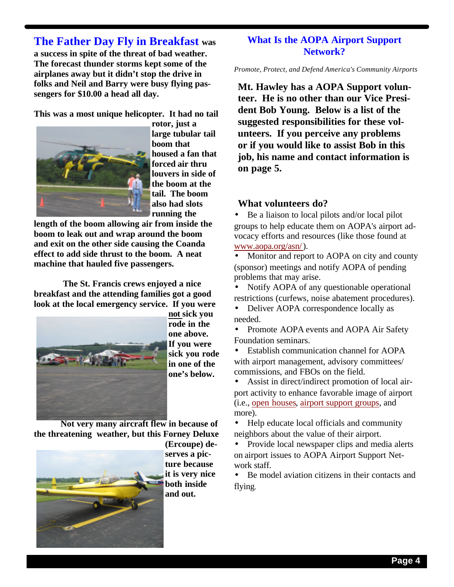### **The Father Day Fly in Breakfast was**

**a success in spite of the threat of bad weather. The forecast thunder storms kept some of the airplanes away but it didn't stop the drive in folks and Neil and Barry were busy flying passengers for \$10.00 a head all day.**

**This was a most unique helicopter. It had no tail** 



**rotor, just a large tubular tail boom that housed a fan that forced air thru louvers in side of the boom at the tail. The boom also had slots running the** 

**length of the boom allowing air from inside the boom to leak out and wrap around the boom and exit on the other side causing the Coanda effect to add side thrust to the boom. A neat machine that hauled five passengers.**

 **The St. Francis crews enjoyed a nice breakfast and the attending families got a good look at the local emergency service. If you were** 



**not sick you rode in the one above. If you were sick you rode in one of the one's below.** 

**Not very many aircraft flew in because of the threatening weather, but this Forney Deluxe** 



**(Ercoupe) deserves a picture because it is very nice both inside and out.**

#### **What Is the AOPA Airport Support Network?**

*Promote, Protect, and Defend America's Community Airports*

**Mt. Hawley has a AOPA Support volunteer. He is no other than our Vice President Bob Young. Below is a list of the suggested responsibilities for these volunteers. If you perceive any problems or if you would like to assist Bob in this job, his name and contact information is on page 5.**

#### **What volunteers do?**

• Be a liaison to local pilots and/or local pilot groups to help educate them on AOPA's airport advocacy efforts and resources (like those found at www.aopa.org/asn/).

• Monitor and report to AOPA on city and county (sponsor) meetings and notify AOPA of pending problems that may arise.

• Notify AOPA of any questionable operational restrictions (curfews, noise abatement procedures).

• Deliver AOPA correspondence locally as needed.

• Promote AOPA events and AOPA Air Safety Foundation seminars.

• Establish communication channel for AOPA with airport management, advisory committees/ commissions, and FBOs on the field.

Assist in direct/indirect promotion of local airport activity to enhance favorable image of airport (i.e., open houses, airport support groups, and more).

• Help educate local officials and community neighbors about the value of their airport.

• Provide local newspaper clips and media alerts on airport issues to AOPA Airport Support Network staff.

• Be model aviation citizens in their contacts and flying.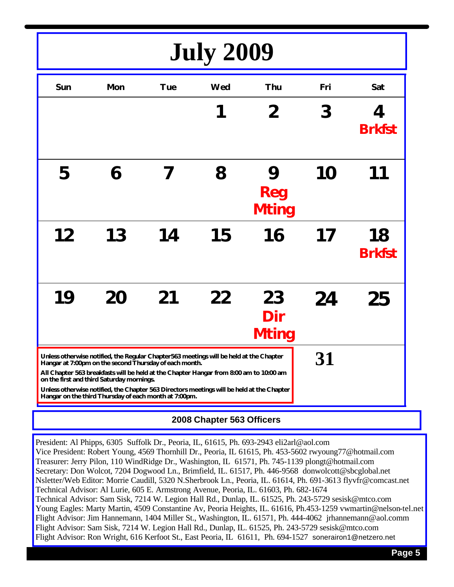# **July 2009**

| Sun                                                                                                                                                                                                                                                                                                                                                                                                                                           | <b>Mon</b> | <b>Tue</b> | Wed | Thu                       | Fri | Sat                 |
|-----------------------------------------------------------------------------------------------------------------------------------------------------------------------------------------------------------------------------------------------------------------------------------------------------------------------------------------------------------------------------------------------------------------------------------------------|------------|------------|-----|---------------------------|-----|---------------------|
|                                                                                                                                                                                                                                                                                                                                                                                                                                               |            |            |     | 2                         | 3   | 4<br><b>Brkfst</b>  |
| 5                                                                                                                                                                                                                                                                                                                                                                                                                                             | 6          |            | 8   | 9<br>Reg<br><b>Mting</b>  | 10  |                     |
| 12                                                                                                                                                                                                                                                                                                                                                                                                                                            | 13         | 14         | 15  | 16                        | 17  | 18<br><b>Brkfst</b> |
| 19                                                                                                                                                                                                                                                                                                                                                                                                                                            | 20         | 21         | 22  | 23<br>Dir<br><b>Mting</b> | 24  | 25                  |
| Unless otherwise notified, the Regular Chapter563 meetings will be held at the Chapter<br>Hangar at 7:00pm on the second Thursday of each month.<br>All Chapter 563 breakfasts will be held at the Chapter Hangar from 8:00 am to 10:00 am<br>on the first and third Saturday mornings.<br>Unless otherwise notified, the Chapter 563 Directors meetings will be held at the Chapter<br>Hangar on the third Thursday of each month at 7:00pm. |            |            |     |                           | 31  |                     |

#### **2008 Chapter 563 Officers**

President: Al Phipps, 6305 Suffolk Dr., Peoria, IL, 61615, Ph. 693-2943 eli2arl@aol.com Vice President: Robert Young, 4569 Thornhill Dr., Peoria, IL 61615, Ph. 453-5602 rwyoung77@hotmail.com Treasurer: Jerry Pilon, 110 WindRidge Dr., Washington, IL 61571, Ph. 745-1139 plongt@hotmail.com Secretary: Don Wolcot, 7204 Dogwood Ln., Brimfield, IL. 61517, Ph. 446-9568 donwolcott@sbcglobal.net Nsletter/Web Editor: Morrie Caudill, 5320 N.Sherbrook Ln., Peoria, IL. 61614, Ph. 691-3613 flyvfr@comcast.net Technical Advisor: Al Lurie, 605 E. Armstrong Avenue, Peoria, IL. 61603, Ph. 682-1674 Technical Advisor: Sam Sisk, 7214 W. Legion Hall Rd., Dunlap, IL. 61525, Ph. 243-5729 sesisk@mtco.com Young Eagles: Marty Martin, 4509 Constantine Av, Peoria Heights, IL. 61616, Ph.453-1259 vwmartin@nelson-tel.net Flight Advisor: Jim Hannemann, 1404 Miller St., Washington, IL. 61571, Ph. 444-4062 jrhannemann@aol.comm Flight Advisor: Sam Sisk, 7214 W. Legion Hall Rd., Dunlap, IL. 61525, Ph. 243-5729 sesisk@mtco.com Flight Advisor: Ron Wright, 616 Kerfoot St., East Peoria, IL 61611, Ph. 694-1527 sonerairon1@netzero.net